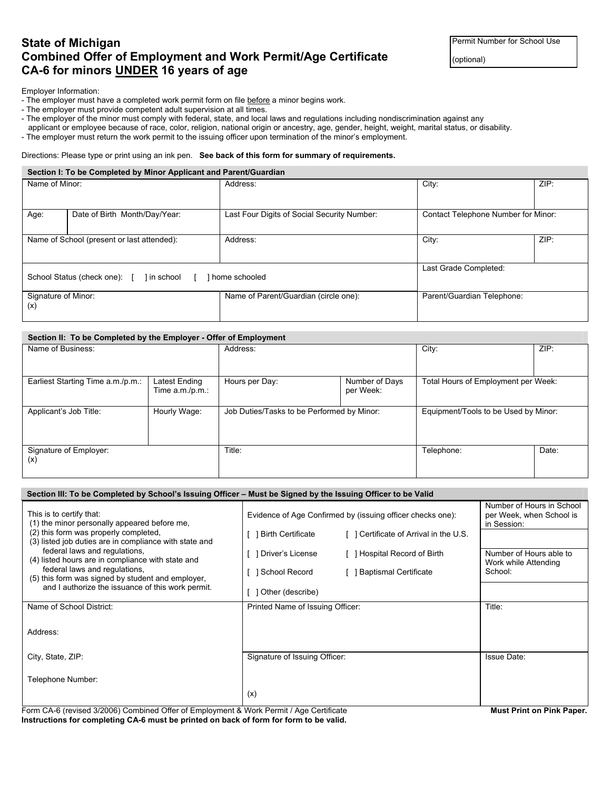# **State of Michigan Permit Number for School Use Combined Offer of Employment and Work Permit/Age Certificate**  $|_{(optional)}|$ **CA-6 for minors UNDER 16 years of age**

Employer Information:

- The employer must have a completed work permit form on file before a minor begins work.
- The employer must provide competent adult supervision at all times.
- The employer of the minor must comply with federal, state, and local laws and regulations including nondiscrimination against any
- applicant or employee because of race, color, religion, national origin or ancestry, age, gender, height, weight, marital status, or disability.
- The employer must return the work permit to the issuing officer upon termination of the minor's employment.

#### Directions: Please type or print using an ink pen. **See back of this form for summary of requirements.**

#### **Section I: To be Completed by Minor Applicant and Parent/Guardian**

| Name of Minor:             |                                                             | Address:                                    | City:                               | ZIP: |
|----------------------------|-------------------------------------------------------------|---------------------------------------------|-------------------------------------|------|
|                            |                                                             |                                             |                                     |      |
| Age:                       | Date of Birth Month/Day/Year:                               | Last Four Digits of Social Security Number: | Contact Telephone Number for Minor: |      |
|                            | Name of School (present or last attended):                  | Address:                                    | City:                               | ZIP: |
|                            | I home schooled<br>School Status (check one): [ ] in school | Last Grade Completed:                       |                                     |      |
| Signature of Minor:<br>(x) |                                                             | Name of Parent/Guardian (circle one):       | Parent/Guardian Telephone:          |      |

## **Section II: To be Completed by the Employer - Offer of Employment**

| Name of Business:                      |                                     | Address:                                   |                             | City:                                | ZIP:  |
|----------------------------------------|-------------------------------------|--------------------------------------------|-----------------------------|--------------------------------------|-------|
|                                        |                                     |                                            |                             |                                      |       |
| Earliest Starting Time a.m./p.m.:      | Latest Ending<br>Time $a.m./p.m.$ : | Hours per Day:                             | Number of Days<br>per Week: | Total Hours of Employment per Week:  |       |
| Hourly Wage:<br>Applicant's Job Title: |                                     | Job Duties/Tasks to be Performed by Minor: |                             | Equipment/Tools to be Used by Minor: |       |
| Signature of Employer:<br>(x)          |                                     | Title:                                     |                             | Telephone:                           | Date: |

| Section III: To be Completed by School's Issuing Officer – Must be Signed by the Issuing Officer to be Valid |                                                                |                                                                      |  |  |  |  |  |
|--------------------------------------------------------------------------------------------------------------|----------------------------------------------------------------|----------------------------------------------------------------------|--|--|--|--|--|
| This is to certify that:<br>(1) the minor personally appeared before me,                                     | Evidence of Age Confirmed by (issuing officer checks one):     | Number of Hours in School<br>per Week, when School is<br>in Session: |  |  |  |  |  |
| (2) this form was properly completed,<br>(3) listed job duties are in compliance with state and              | Certificate of Arrival in the U.S.<br><b>Birth Certificate</b> |                                                                      |  |  |  |  |  |
| federal laws and regulations,<br>(4) listed hours are in compliance with state and                           | [ ] Hospital Record of Birth<br>Driver's License               | Number of Hours able to<br>Work while Attending                      |  |  |  |  |  |
| federal laws and regulations,<br>(5) this form was signed by student and employer,                           | School Record<br><b>Baptismal Certificate</b>                  | School:                                                              |  |  |  |  |  |
| and I authorize the issuance of this work permit.                                                            | Other (describe)                                               |                                                                      |  |  |  |  |  |
| Name of School District:                                                                                     | Printed Name of Issuing Officer:                               | Title:                                                               |  |  |  |  |  |
| Address:                                                                                                     |                                                                |                                                                      |  |  |  |  |  |
|                                                                                                              |                                                                |                                                                      |  |  |  |  |  |
| City, State, ZIP:                                                                                            | Signature of Issuing Officer:                                  | <b>Issue Date:</b>                                                   |  |  |  |  |  |
| Telephone Number:                                                                                            |                                                                |                                                                      |  |  |  |  |  |
|                                                                                                              | (x)                                                            |                                                                      |  |  |  |  |  |

Form CA-6 (revised 3/2006) Combined Offer of Employment & Work Permit / Age Certificate **Must Print on Pink Paper. Instructions for completing CA-6 must be printed on back of form for form to be valid.**